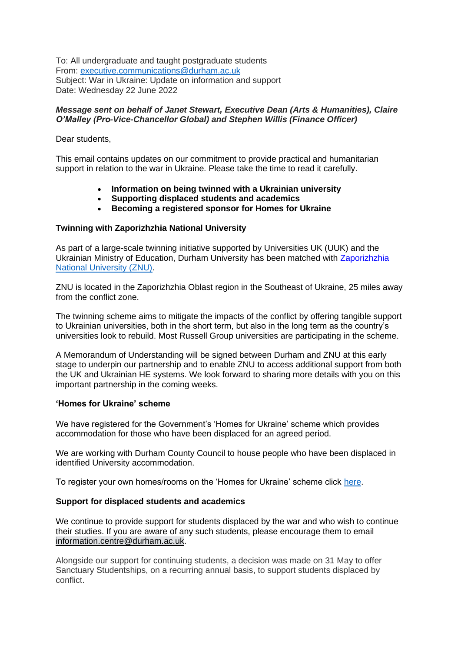To: All undergraduate and taught postgraduate students From: [executive.communications@durham.ac.uk](mailto:executive.communications@durham.ac.uk) Subject: War in Ukraine: Update on information and support Date: Wednesday 22 June 2022

# *Message sent on behalf of Janet Stewart, Executive Dean (Arts & Humanities), Claire O'Malley (Pro-Vice-Chancellor Global) and Stephen Willis (Finance Officer)*

Dear students,

This email contains updates on our commitment to provide practical and humanitarian support in relation to the war in Ukraine. Please take the time to read it carefully.

- **Information on being twinned with a Ukrainian university**
- **Supporting displaced students and academics**
- **Becoming a registered sponsor for Homes for Ukraine**

# **Twinning with Zaporizhzhia National University**

As part of a large-scale twinning initiative supported by Universities UK (UUK) and the Ukrainian Ministry of Education, Durham University has been matched with [Zaporizhzhia](https://www.znu.edu.ua/frontpage/3594.eng.html) [National University \(ZNU\).](https://www.znu.edu.ua/frontpage/3594.eng.html)

ZNU is located in the Zaporizhzhia Oblast region in the Southeast of Ukraine, 25 miles away from the conflict zone.

The twinning scheme aims to mitigate the impacts of the conflict by offering tangible support to Ukrainian universities, both in the short term, but also in the long term as the country's universities look to rebuild. Most Russell Group universities are participating in the scheme.

A Memorandum of Understanding will be signed between Durham and ZNU at this early stage to underpin our partnership and to enable ZNU to access additional support from both the UK and Ukrainian HE systems. We look forward to sharing more details with you on this important partnership in the coming weeks.

## **'Homes for Ukraine' scheme**

We have registered for the Government's 'Homes for Ukraine' scheme which provides accommodation for those who have been displaced for an agreed period.

We are working with Durham County Council to house people who have been displaced in identified University accommodation.

To register your own homes/rooms on the 'Homes for Ukraine' scheme click [here.](https://www.gov.uk/register-interest-homes-ukraine)

## **Support for displaced students and academics**

We continue to provide support for students displaced by the war and who wish to continue their studies. If you are aware of any such students, please encourage them to email [information.centre@durham.ac.uk.](mailto:information.centre@durham.ac.uk)

Alongside our support for continuing students, a decision was made on 31 May to offer Sanctuary Studentships, on a recurring annual basis, to support students displaced by conflict.